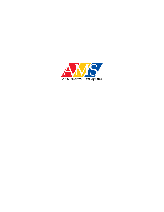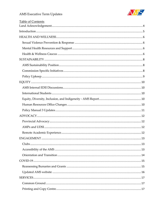

| <b>Table of Contents</b> |
|--------------------------|
|                          |
|                          |
|                          |
|                          |
|                          |
|                          |
|                          |
|                          |
|                          |
|                          |
|                          |
|                          |
|                          |
|                          |
|                          |
|                          |
|                          |
|                          |
|                          |
| ENGAGEMENT.<br>13        |
|                          |
|                          |
|                          |
|                          |
|                          |
|                          |
|                          |
|                          |
|                          |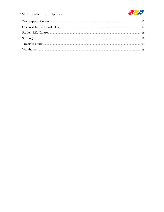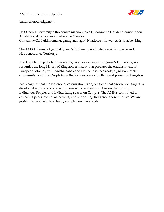

<span id="page-3-0"></span>Land Acknowledgement

Ne Queen's University e'tho nońwe nikanónhsote tsi nońwe ne Haudenasaunee tánon Anishinaabek tehatihsnónhsahere ne óhontsa.

Gimaakwe Gchi-gkinoomaagegamig atemagad Naadowe miinwaa Anishinaabe aking.

The AMS Acknowledges that Queen's University is situated on Anishinaabe and Haudenosaunee Territory.

In acknowledging the land we occupy as an organization at Queen's University, we recognize the long history of Kingston; a history that predates the establishment of European colonies, with Anishinaabek and Haudenosaunee roots, significant Métis community, and First People from the Nations across Turtle Island present in Kingston.

We recognize that the violence of colonization is ongoing and that sincerely engaging in decolonial actions is crucial within our work in meaningful reconciliation with Indigenous Peoples and Indigenizing spaces on Campus. The AMS is committed to educating peers, continual learning, and supporting Indigenous communities. We are grateful to be able to live, learn, and play on these lands.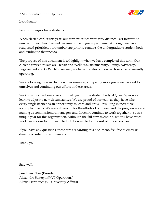

<span id="page-4-0"></span>Introduction

Fellow undergraduate students,

When elected earlier this year, our term priorities were very distinct. Fast forward to now, and much has changed because of the ongoing pandemic. Although we have readjusted priorities, our number one priority remains the undergraduate student body and tending to their needs.

The purpose of this document is to highlight what we have completed this term. Our current, revised pillars are Health and Wellness, Sustainability, Equity, Advocacy, Engagement and COVID-19. As well, we have updates on how each service is currently operating.

We are looking forward to the winter semester, competing more goals we have set for ourselves and continuing our efforts in these areas.

We know this has been a very difficult year for the student body at Queen's, as we all learn to adjust to new circumstances. We are proud of our team as they have taken every single barrier as an opportunity to learn and grow – resulting in incredible accomplishments. We are so thankful for the efforts of our team and the progress we are making as commissioners, managers and directors continue to work together in such a unique year for this organization. Although the fall term is ending, we still have much work being done by our team to look forward to for the rest of this school year.

If you have any questions or concerns regarding this document, feel free to email us directly or submit to anonymous form.

Thank you.

Stay well,

Jared den Otter (President) Alexandra Samoyloff (VP Operations) Alexia Henriques (VP University Affairs)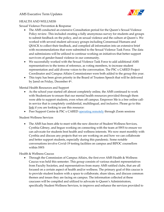

## <span id="page-5-0"></span>HEALTH AND WELLNESS

<span id="page-5-1"></span>Sexual Violence Prevention & Response

- The AMS conducted an extensive Consultation period for the Queen's Sexual Violence Policy review. This included creating a fully anonymous survey for students and groups to submit feedback on the policy, and on sexual violence and the culture at Queen's. We worked with several student advocacy groups including Consensual Humans and QSACK to collect their feedback, and compiled all information into an extensive brief with recommendations that were submitted to the Sexual Violence Task Force. The data and submissions will be utilized to continue working on initiatives that better support survivors of gender-based violence in our community.
- We successfully worked with the Sexual Violence Task Force to add additional AMS representatives to the terms of reference, as voting members, to increase student representation and add diverse voices to the conversation. The PSC x CARED Project Coordinator and Campus Affairs Commissioner were both added to the group this year.
- This topic has been given priority in the Board of Trustees Speech that will be delivered by Jared on Friday, December 4<sup>th</sup>.

<span id="page-5-2"></span>Mental Health Resources and Support

- As the school year started off almost completely online, the AMS continued to work with Studentcare to ensure that our mental health resources provided through them were able to support students, even when off campus. Empower Me is a free online callin service that is completely confidential, multilingual, and inclusive. Please go to this [link](http://www.studentcare.ca/rte/en/QueensUniversityAMS_EmpowerMe_EmpowerMe) if you are looking to use this resource:
- Peer Support Centre & PSC x CARED [operating](https://www.queensjournal.ca/story/2020-09-21/student-politics/peer-support-centre-launches-remote-mental-health-support-during-pandemic/) remotely through Zoom sessions

## Student Wellness Services

• The AMS has been able to meet with the new director of Student Wellness Services, Cynthia Gibney, and begun working on connecting with the team at SWS to ensure we can advocate for students best health and wellness interests. We now meet monthly with Cynthia and discuss any projects that we are working on and how we can collaborate and better support students, especially during this pandemic. Some notable conversations involve Covid-19 testing facilities on campus and BIPOC counsellors within SWS

# <span id="page-5-3"></span>Health & Wellness Caucus

• Through the Commission of Campus Affairs, the first ever AMS Health & Wellness Caucus was held this semester. This group consists of various student representatives from Faculty Societies, and representatives from many AMS ratified clubs, that are all focused on a certain aspect of health and/or wellness. The primary goal of this caucus is to provide student leaders with a space to collaborate, share ideas, and discuss common themes and issues they are facing on campus. The information collected at these caucuses will be compiled and utilized to advocate to Queen's Administrators, specifically Student Wellness Services, to improve and enhance the services provided to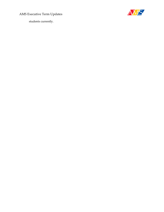

students currently.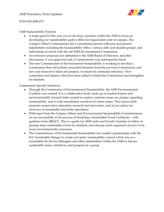

#### <span id="page-7-0"></span>SUSTAINABILITY

## <span id="page-7-1"></span>AMS Sustainability Position

- A major goal for this year was to develop a position within the AMS to focus on developing our sustainability goals within our organization and on campus. The Campus Affairs Commissioner led a consultation period with past and present stakeholders including the Sustainability Office, various clubs and student groups, and individuals involved with the old AMS Environmental Commission.
- An extensive proposal was submitted to the AMS Board of Directors, and after discussions, it was approved and a Commissioner was subsequently hired.
- The new Commissioner of Environmental Sustainability is working to develop a Commission that will include successful elements from the previous Commission, and new and innovative ideas and projects, to ensure its continued relevancy. New committees and deputy roles have been added to build this Commission and strengthen its mandate.

#### <span id="page-7-2"></span>Commission Specific Initiatives

- Through the Commission of Environmental Sustainability, the AMS Environmental Coalition was created. It is a collaborative body made up of student leaders and environmentally focused clubs created to explore common issues on campus regarding sustainability, and to seek remediation ourselves for these issues. This caucus shall promote conservation education, research and innovation, and act as a place for advocacy of sustainable university operations.
- With input from the Campus Affairs and Environmental Sustainability Commissioners, we are successfully in the process of finalizing a Sustainable Event Certificate – with guidance from QBACC. This is a guide for AMS clubs and Faculty Societies to follow to prompt more sustainable events for students, and educate event organizers on how to be more environmentally-conscious.
- The Commissioner of Environmental Sustainability has created a partnership with the SLC Sustainable Manger to create a tri-party sustainability council which acts as a roundtable for Service Managers and other stakeholders within the AMS to discuss sustainable issues, initiatives, and progress as a group.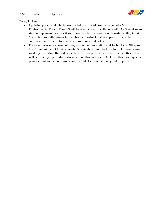

<span id="page-8-0"></span>Policy Upkeep

- Updating policy and which ones are being updated: Revitalization of AMS Environmental Policy. The CES will be conduction consultations with AMS services and staff to implement best practices for each individual service with sustainability in mind. Consultations with university members and subject matter experts will also be conducted to further inform a better environmental policy.
- Electronic Waste has been building within the Information and Technology Office, so the Commissioner of Environmental Sustainability and the Director of IT have begun working on finding the best possible way to recycle the E-waste from the office. They will be creating a procedures document on this and ensure that the office has a specific plan forward so that in future years, the old electronics are recycled properly.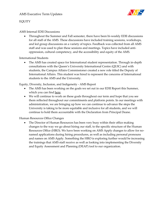

## <span id="page-9-0"></span>EQUITY

#### <span id="page-9-1"></span>AMS Internal EDII Discussions

• Throughout the Summer and Fall semester, there have been bi-weekly EDII discussions for all staff of the AMS. These discussions have included training sessions, workshops, and led group discussions on a variety of topics. Feedback was collected from all AMS staff and was used to plan these sessions and meetings. Topics have included antioppression, cultural competency, and the accessibility and equity of the AMS.

<span id="page-9-2"></span>International Students

• The AMS has created space for International student representation. Through in-depth consultations with the Queen's University International Centre (QUIC) and with students, the Campus Affairs Commissioner created a new role titled the Deputy of International Affairs. This student was hired to represent the concerns of International students to the AMS and the University.

<span id="page-9-3"></span>Equity, Diversity, Inclusion, and Indigeneity - AMS Report

- The AMS has been working on the goals we set out in our EDII Report this Summer, which you can find [here.](https://myams.org/wp-content/uploads/2020/07/EDIICommitmentsJuly28PDF.pdf)
- We will continue to work on these goals throughout our term and hope that you see them reflected throughout our commitments and platform points. In our meetings with administration, we are bringing up how we can continue to advance the steps the University is taking to be more equitable and inclusive for all students, and we will continue to hold them accountable with the Declaration from Principal Deane.

#### <span id="page-9-4"></span>Human Resources Office Changes

• The Director of Human Resources has been very busy within their office making changes to the way we go about hiring our staff, to the specific structure of the Human Resources Office (HRO). We have been working on AMS Apply changes to allow for nonamed applications during hiring procedures, as well as including personal pronouns and names on AMS Apply. Something the HRO is exploring further would be increasing the trainings that AMS staff receive as well as looking into implementing the Diversity and Equity Assessment and Planning (DEAP) tool to our organization.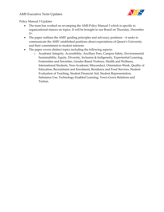

<span id="page-10-0"></span>Policy Manual 3 Updates

- The team has worked on revamping the AMS Policy Manual 3 which is specific to organizational stances on topics. It will be brought to our Board on Thursday, December 3 rd .
- The paper outlines the AMS' guiding principles and advocacy positions it seeks to communicate the AMS' established positions about expectations of Queen's University and their commitment to student interests.
- The paper covers distinct topics including the following aspects:
	- o Academic Integrity, Accessibility, Ancillary Fees, Campus Safety, Environmental Sustainability, Equity, Diversity, Inclusion & Indigeneity, Experiential Learning, Fraternities and Sororities, Gender-Based Violence, Health and Wellness, International Students, Non-Academic Misconduct, Orientation Week, Quality of Education, Recruitment and Enrolment, Residence and Food Services, Student Evaluation of Teaching, Student Financial Aid, Student Representation, Substance Use, Technology-Enabled Learning, Town-Gown Relations and Tuition.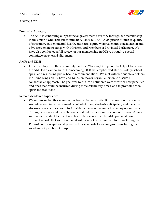

# <span id="page-11-0"></span>ADVOCACY

## <span id="page-11-1"></span>Provincial Advocacy

• The AMS in continuing our provincial government advocacy through our membership in the Ontario Undergraduate Student Alliance (OUSA). AMS priorities such as quality of education, student mental health, and racial equity were taken into consideration and advocated on in meetings with Ministers and Members of Provincial Parliament. We have also conducted a full review of our membership in OUSA through a special committee on external alignment.

#### <span id="page-11-2"></span>AMPs and UDSI

• In partnership with the Community Partners Working Group and the City of Kingston, the AMS led a campaign for Homecoming 2020 that emphasized student safety, school spirit, and respecting public health recommendations. We met with various stakeholders including Kingston By Law, and Kingston Mayor Bryan Patterson to discuss a collaborative approach. The goal was to ensure all students were aware of new penalties and fines that could be incurred during these celebratory times, and to promote school spirit and traditions!

#### <span id="page-11-3"></span>Remote Academic Experience

• We recognize that this semester has been extremely difficult for some of our students. An online learning environment is not what many students anticipated, and the added stressors of academics has unfortunately had a negative impact on many of our peers. Through a survey and consultation period led by the Commissioner of External Affairs, we received student feedback and heard their concerns. The AMS prepared two different reports that were circulated with senior level administrators – including the Provost and Principal – and presented these reports to several groups including the Academics Operations Group.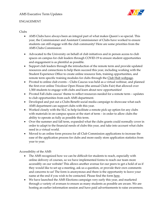

## <span id="page-12-0"></span>ENGAGEMENT

## <span id="page-12-1"></span>Clubs

- AMS Clubs have always been an integral part of what makes Queen's so special. This year, the Commissioner and Assistant Commissioner of Clubs have worked to ensure students can still engage with the club community! Here are some priorities from the AMS Clubs Commission:
- Advocated to the University on behalf of club initiatives and in person access to club spaces on campus for club leaders through COVID-19 to ensure student opportunities and engagement is as plentiful as possible.
- Support club leaders through the introduction of the remote term and provide updated resources and connections to help them succeed this year, including working with the Student Experience Office to create online resource lists, training opportunities, and remote term specific training modules for clubs through the [Club Hub webpage.](https://www.queensu.ca/studentexperience/student-development-leadership/club-hub)
- Pivoted to online club events Clubs Caucus was held as a virtual webinar, and planned the first ever online Tricolour Open House (the annual Clubs Fair) that allowed over 1,500 students to engage with clubs and learn about new opportunities!
- Pivoted Fall clubs caucus' theme to reflect resources needed for a remote term updates to club opportunities from each AMS department.
- Developed and put out a Clubs Benefit social media campaign to showcase what each AMS department can support clubs with this year.
- Worked closely with the SLC to help facilitate a remote pick up option for any clubs with materials in on-campus spaces at the start of term – in order to allow clubs the ability to operate as fully as possible this term.
- Over the summer and fall term, expanded what the clubs grants could normally cover in order to adapt to the financial needs of clubs this year, and take into account what clubs need in a virtual world.
- Moved to an online form process for all Club Commission applications to increase the ease of the application process for clubs and more easily store application statistics from year to year.

## <span id="page-12-2"></span>Accessibility of the AMS

- The AMS recognized how we can be difficult for students to reach, especially with online delivery of courses, so we have implemented forms to reach our team more accessibly on our website! This allows another avenue for our peers to get a hold of us if they would like to set up a meeting, ask us a question, or provide their own comments and concerns to us! The form is anonymous and there is the opportunity to leave your name at the end if you wish to be contacted. Please find the form [here.](https://forms.office.com/Pages/ResponsePage.aspx?id=ojKzEm_zjk-kqodi9MZZUoFQK7izENxHpsHdYjVCb0RUMDZKUVVIMDNJRFA4NlA3VTlFQ1dYNzFOMC4u)
- We have launched the AMS Elections campaign very early this year, and marketed through a variety of avenues to ensure as many students as possible are aware. We are hosting an earlier information session and have paid advertisements to raise awareness.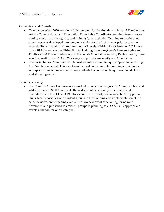

<span id="page-13-0"></span>Orientation and Transition

- Orientation Week 2020 was done fully remotely for the first time in history! The Campus Affairs Commissioner and Orientation Roundtable Coordinator and their teams worked hard to coordinate the logistics and training for all activities. Training for leaders and executives was developed into remote modules for the first time. A priority was the accessibility and quality of programming. All levels of hiring for Orientation 2021 have now officially engaged in Hiring Equity Training from the Queen's Human Rights and Equity Office! Through advocacy on the Senate Orientation Activity Review Board, there was the creation of a SOARB Working Group to discuss equity and Orientation.
- The Social Issues Commissioner planned an entirely remote Equity Open House during the Orientation period. This event was focused on community building and offered a safe space for incoming and returning students to connect with equity-oriented clubs and student groups.

Event Sanctioning

• The Campus Affairs Commissioner worked to consult with Queen's Administration and AMS Permanent Staff to reinstate the AMS Event Sanctioning process and make amendments to take COVID-19 into account. The priority will always be to support all clubs, faculty societies, and student groups in the planning and implementation of fun, safe, inclusive, and engaging events. The two new event sanctioning forms were developed and published to assist all groups in planning safe, COVID-19 appropriate events either online or off-campus.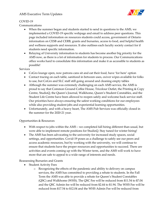

## <span id="page-14-0"></span>COVID-19

Communications

- When the summer began and students started to send in questions to the AMS, we implemented a COVID-19 specific webpage and email to address peer questions. This page included information on resources students could access, government of Ontario information on CESB and CERB, grants and bursaries, access to food, and helpful health and wellness supports and resources. It also outlines each faculty society contact for if students need specific information.
- Relaying of University information to students has become another big priority for the AMS now, as there is a lot of information for students to process. Our Communications office works hard to consolidate this information and make it as accessible to students as possible!

## **Services**

- CoGro lounge open, now patrons cans sit and eat their food, have 'for here' option
- Contact tracing on each table, sanitized in between uses, oxiver wipes available for folks to use, but CoGro and SLC staff still going around and cleaning empty tables
- Although the summer was extremely challenging on each AMS service, the AMS is proud to say that Common Ground Coffee House, Tricolour Outlet, the Printing & Copy Centre, StudioQ, the Queen's Journal, Walkhome, Queen's Student Constables, and the Student Life Centre have been allowed to reopen safely and welcome back service staff. Our priorities have always ensuring the safest working conditions for our employees while also providing student jobs and experiential learning opportunities.
- Unfortunately, and with a heavy heart, The AMS Pub Services was officially closed in the summer for the 2020-21 year.

## Opportunities & Resources

- With respect to jobs within the AMS we completed fall hiring different than usual, but were able to implement remote positions for StudioQ. Stay tuned for winter hiring!
- The AMS has been advocating to the university for increased study spaces, social settings, and opportunities. Covid-19 poses as a challenge to safely see our peers and access academic resources, but by working with the university, we will continue to ensure that students have the proper resources and opportunities to succeed. There are activities and events coming up with the Winter term, and the AMS will work to have more that are safe to appeal to a wide range of interests and needs.

## <span id="page-14-1"></span>Reassessing Bursaries and Grants

- Student Activity Fees
	- o Recognizing the effects of the pandemic and ability to delivery on campus services, the AMS has committed to providing a rebate to students. In the Fall Term the AMS was able to provide a rebate for Queen's Student Constables (QSC) and Walkhome (WHS). The QSC Fee will be reduced from \$11.54 to \$7.04 and the QSC Admin fee will be reduced from \$2.44 to \$1.94. The WHS Fee will be reduced from \$17.54 to \$12.04 and the WHS Admin Fee will be reduced from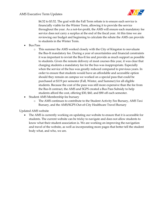

\$4.52 to \$3.52. The goal with the Fall Term rebate is to ensure each service is financially viable for the Winter Term, allowing it to provide the service throughout the year. As a not-for-profit, the AMS will ensure each mandatory fee service does not carry a surplus at the end of the fiscal year. At this time we are reviewing our budget and beginning to calculate the rebate the AMS can provide to students in the Winter Term.

- Bus Pass
	- o This summer the AMS worked closely with the City of Kingston to reevaluate the Bus-It mandatory fee. During a year of uncertainties and financial constraints it was important to revisit the Bus-It fee and provide as much support as possible to students. Given the remote delivery of most courses this year, it was clear that charging students a mandatory fee for the bus was inappropriate. Especially when the service of the bus was greatly reduced compared to previous years. In order to ensure that students would have an affordable and accessible option should they remain on campus we worked on a special pass that could be purchased at \$119 per semester (Fall, Winter, and Summer) for all eligible students. Because the cost of the pass was still more expensive than the fee from the Bus-It contract, the AMS and SGPS created a Bus Pass Subsidy to help students afford the cost, offering \$30, \$60, and \$90 off each semester.
- Student AMS Membership fee bursary
	- o The AMS continues to contribute to the Student Activity Fee Bursary, AMS Taxi Bursary, and the AMS/SGPS Out-of-City Healthcare Travel Bursary

<span id="page-15-0"></span>Updated AMS website

• The AMS is currently working on updating our website to ensure that it is accessible for students. The current website can be tricky to navigate and does not allow students to know what their student association is. We are working on improving the navigation and travel of the website, as well as incorporating more pages that better tell the student body what, and who, we are.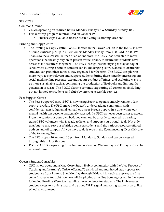

#### <span id="page-16-0"></span>**SERVICES**

<span id="page-16-1"></span>Common Ground

- CoGro operating on reduced hours: Monday-Friday 9-5 & Saturday-Sunday 10-2
- HuskeeSwap program reintroduced on October 19th
	- o Huskee cups available across Queen's Campus dinning locations

# <span id="page-16-2"></span>Printing and Copy Centre

• The Printing & Copy Centre (P&CC), located in the Lower Ceilidh in the JDUC, is now offering curbside pickup to all customers Monday-Friday from 10:00 AM to 4:00 PM. Thanks to the successful launch of an online store, the P&CC has been able to move operations that heavily rely on in-person traffic, online, to ensure that students have access to the resources they need. The P&CC recognizes that trying to stay on top of schoolwork during a remote semester can be challenging so we wanted to ensure that students can print their notes to stay organized for the term. The P&CC is exploring more ways to stay relevant and support students during these times by increasing our social media/online presence, expanding our product offerings, and exploring ways to be more sustainable such as continuing the production of EcoBooks and limiting the generation of waste. The P&CC plans to continue supporting all customers (including but not limited to) students and clubs by offering accessible services.

## <span id="page-16-3"></span>Peer Support Centre

- The Peer Support Centre (PSC) is now using Zoom to operate entirely remote, 10am-10pm everyday. The PSC offers the Queen's undergraduate community with confidential, non-judgmental, empathetic, peer-based support. In a time where our mental health can become particularly stressed, the PSC has never been easier to access. From the comfort of your own bed, you can now be directly connected to a caring, trained PSC volunteer who is ready to listen and support you through it all. Not only that, but we also serve as a bridge between students and the various resources offered both on and off campus. All you have to do is type in the Zoom meeting ID or click one of the following links;
- The PSC is open 10 am until 10 pm from Monday to Sunday and can be accessed through this [link](https://zoom.us/j/2721240355) or this [one.](https://us02web.zoom.us/j/2297354331)
- PSC x CARED is operating from 2-4 pm on Monday, Wednesday and Friday and can be accesse[d here.](https://zoom.us/j/8539970915)

<span id="page-16-4"></span>Queen's Student Constables

• QSC is now operating a Mac-Corry Study Hub in conjunction with the Vice-Provost of Teaching and Learning's Office, offering 70 sanitized and monitored study spaces for student use from 11am to 8pm Monday through Friday. Although the spaces are first come first serve for right now, we will be piloting an online booking system in the weeks following Reading Week to streamline the experience for students. The Hub ensures student access to a quiet space and a strong Wi-Fi signal, increasing equity in an online school environment.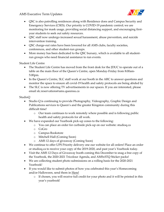

- QSC is also patrolling residences along with Residence dons and Campus Security and Emergency Services (CSES). Our priority is COVID-19 pandemic control; we are monitoring for mask usage, providing social distancing support, and encouraging firstyear students to seek out safety resources.
- QSC staff now undergo increased sexual harassment, abuse prevention, and suicide intervention training.
- QSC charge-out rates have been lowered for all AMS clubs, faculty societies, conferences, and other student-run groups.
- More money has been dedicated to the QSC bursary, which is available to all studentrun groups who need financial assistance to run events.

<span id="page-17-0"></span>Student Life Centre

- The Student Life Centre has moved from the front desk for the JDUC to operate out of a table on the main floor of the Queen's Centre, open Monday-Friday from 8:00am-5:00pm.
- In the Queen's Centre, SLC staff work at our booth in the ARC to answer questions and monitor the space to ensure all covid-19 health and safety protocols are being abided by
- The SLC is now offering TV advertisements in our spaces. If you are interested, please email slc.reservations@ams.queensu.ca

<span id="page-17-1"></span>StudioQ

- Studio Q is continuing to provide Photography, Videography, Graphic Design and Publications services to Queen's and the greater Kingston community during this difficult time!
	- o Our team continues to work remotely where possible and is following public health and safety protocols for all work.
- We have expanded our Yearbook pick-up zones to the following:
	- o You can place an order for curbside pick-up on our website: studioq.ca
	- o CoGro
	- o Campus Bookstore
	- o Mitchell Hall (Coming Soon)
	- o AMS 12 days of giveaway (Coming Soon)
- We continue to offer UPS Priority delivery one our website for all orders! Place an order or studioq.ca to receive your copy of the 2019-2020, and past year's Yearbook today.
- Visit the AMS 12 Days of Giveaway booth coming this December to snag a free copy of the Yearbook, the 2020-2021 Tricolour Agenda, and AMSxSTQ Sticker packs!
- We are collecting student photo submissions on a rolling basis for the 2020-2021 Yearbook!
- If you would like to submit photos of how you celebrated this year's Homecoming and/or Halloween, send them in [Here!](https://docs.google.com/forms/d/e/1FAIpQLScRQRefkVdk97wb0iPo7I4-U25jpTaXIsb74UQk-8n6xISGMQ/viewform?fbclid=IwAR1aTf1uzUzUHKFRVI_E3zrFW1Htd5RcjodCyp49FqEHG6QtriqWGNg5IGw)
	- o If chosen, you will receive full credit for your photo and it will be printed in this year's yearbook!